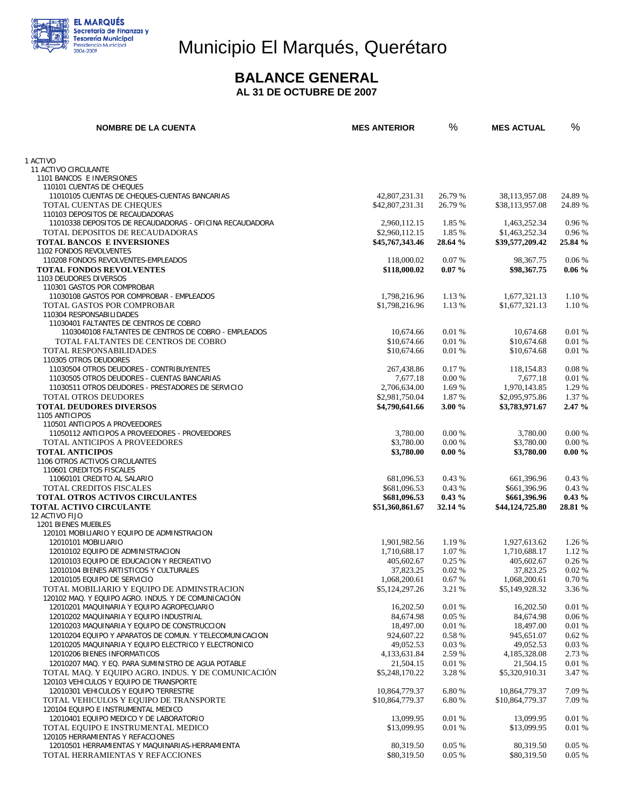

# Municipio El Marqués, Querétaro

### **BALANCE GENERAL**

 **AL 31 DE OCTUBRE DE 2007** 

| <b>NOMBRE DE LA CUENTA</b>                                                                                      | <b>MES ANTERIOR</b>               | %                 | <b>MES ACTUAL</b>                 | %                |
|-----------------------------------------------------------------------------------------------------------------|-----------------------------------|-------------------|-----------------------------------|------------------|
|                                                                                                                 |                                   |                   |                                   |                  |
| 1 ACTIVO                                                                                                        |                                   |                   |                                   |                  |
| 11 ACTIVO CIRCULANTE<br>1101 BANCOS E INVERSIONES                                                               |                                   |                   |                                   |                  |
| 110101 CUENTAS DE CHEQUES                                                                                       |                                   |                   |                                   |                  |
| 11010105 CUENTAS DE CHEQUES-CUENTAS BANCARIAS                                                                   | 42,807,231.31                     | 26.79 %           | 38,113,957.08                     | 24.89 %          |
| TOTAL CUENTAS DE CHEQUES                                                                                        | \$42,807,231.31                   | 26.79 %           | \$38,113,957.08                   | 24.89 %          |
| 110103 DEPOSITOS DE RECAUDADORAS                                                                                |                                   |                   |                                   |                  |
| 11010338 DEPOSITOS DE RECAUDADORAS - OFICINA RECAUDADORA<br>TOTAL DEPOSITOS DE RECAUDADORAS                     | 2,960,112.15                      | 1.85 %            | 1,463,252.34                      | 0.96 %           |
| <b>TOTAL BANCOS E INVERSIONES</b>                                                                               | \$2,960,112.15<br>\$45,767,343.46 | 1.85 %<br>28.64 % | \$1,463,252.34<br>\$39,577,209.42 | 0.96%<br>25.84 % |
| 1102 FONDOS REVOLVENTES                                                                                         |                                   |                   |                                   |                  |
| 110208 FONDOS REVOLVENTES-EMPLEADOS                                                                             | 118,000.02                        | 0.07%             | 98,367.75                         | 0.06%            |
| <b>TOTAL FONDOS REVOLVENTES</b>                                                                                 | \$118,000.02                      | $0.07 \%$         | \$98,367.75                       | $0.06\%$         |
| 1103 DEUDORES DIVERSOS                                                                                          |                                   |                   |                                   |                  |
| 110301 GASTOS POR COMPROBAR                                                                                     |                                   |                   |                                   |                  |
| 11030108 GASTOS POR COMPROBAR - EMPLEADOS                                                                       | 1,798,216.96                      | 1.13 %            | 1,677,321.13                      | 1.10 %           |
| TOTAL GASTOS POR COMPROBAR<br>110304 RESPONSABILIDADES                                                          | \$1,798,216.96                    | 1.13 %            | \$1,677,321.13                    | 1.10 %           |
| 11030401 FALTANTES DE CENTROS DE COBRO                                                                          |                                   |                   |                                   |                  |
| 1103040108 FALTANTES DE CENTROS DE COBRO - EMPLEADOS                                                            | 10.674.66                         | 0.01 %            | 10.674.68                         | 0.01%            |
| TOTAL FALTANTES DE CENTROS DE COBRO                                                                             | \$10,674.66                       | 0.01 %            | \$10,674.68                       | 0.01%            |
| TOTAL RESPONSABILIDADES                                                                                         | \$10,674.66                       | 0.01%             | \$10,674.68                       | 0.01%            |
| 110305 OTROS DEUDORES                                                                                           |                                   |                   |                                   |                  |
| 11030504 OTROS DEUDORES - CONTRIBUYENTES                                                                        | 267,438.86                        | 0.17 %            | 118,154.83                        | 0.08%            |
| 11030505 OTROS DEUDORES - CUENTAS BANCARIAS                                                                     | 7,677.18                          | 0.00 %            | 7,677.18                          | 0.01%            |
| 11030511 OTROS DEUDORES - PRESTADORES DE SERVICIO                                                               | 2,706,634.00                      | 1.69 %            | 1,970,143.85<br>\$2,095,975.86    | 1.29 %           |
| <b>TOTAL OTROS DEUDORES</b><br><b>TOTAL DEUDORES DIVERSOS</b>                                                   | \$2,981,750.04<br>\$4,790,641.66  | 1.87 %<br>3.00 %  | \$3,783,971.67                    | 1.37 %<br>2.47%  |
| 1105 ANTICIPOS                                                                                                  |                                   |                   |                                   |                  |
| 110501 ANTICIPOS A PROVEEDORES                                                                                  |                                   |                   |                                   |                  |
| 11050112 ANTICIPOS A PROVEEDORES - PROVEEDORES                                                                  | 3,780.00                          | 0.00 %            | 3,780.00                          | 0.00 %           |
| TOTAL ANTICIPOS A PROVEEDORES                                                                                   | \$3,780.00                        | 0.00%             | \$3,780.00                        | 0.00 %           |
| <b>TOTAL ANTICIPOS</b>                                                                                          | \$3,780.00                        | $0.00 \%$         | \$3,780.00                        | $0.00 \%$        |
| 1106 OTROS ACTIVOS CIRCULANTES<br>110601 CREDITOS FISCALES                                                      |                                   |                   |                                   |                  |
| 11060101 CREDITO AL SALARIO                                                                                     | 681,096.53                        | 0.43%             | 661,396.96                        | 0.43%            |
| <b>TOTAL CREDITOS FISCALES</b>                                                                                  | \$681,096.53                      | 0.43%             | \$661,396.96                      | 0.43%            |
| <b>TOTAL OTROS ACTIVOS CIRCULANTES</b>                                                                          | \$681,096.53                      | $0.43\%$          | \$661,396.96                      | $0.43\%$         |
| <b>TOTAL ACTIVO CIRCULANTE</b>                                                                                  | \$51,360,861.67                   | 32.14 %           | \$44,124,725.80                   | 28.81 %          |
| 12 ACTIVO FIJO                                                                                                  |                                   |                   |                                   |                  |
| 1201 BIENES MUEBLES                                                                                             |                                   |                   |                                   |                  |
| 120101 MOBILIARIO Y EQUIPO DE ADMINSTRACION<br>12010101 MOBILIARIO                                              | 1,901,982.56                      | 1.19 %            | 1,927,613.62                      | 1.26 %           |
| 12010102 EQUIPO DE ADMINISTRACION                                                                               | 1,710,688.17                      | 1.07 %            | 1,710,688.17                      | 1.12 %           |
| 12010103 EQUIPO DE EDUCACION Y RECREATIVO                                                                       | 405,602.67                        | 0.25%             | 405,602.67                        | 0.26%            |
| 12010104 BIENES ARTISTICOS Y CULTURALES                                                                         | 37.823.25                         | 0.02%             | 37,823.25                         | 0.02%            |
| 12010105 EQUIPO DE SERVICIO                                                                                     | 1,068,200.61                      | $0.67~\%$         | 1,068,200.61                      | 0.70%            |
| TOTAL MOBILIARIO Y EQUIPO DE ADMINSTRACION                                                                      | \$5,124,297.26                    | 3.21 %            | \$5,149,928.32                    | 3.36 %           |
| 120102 MAQ. Y EQUIPO AGRO. INDUS. Y DE COMUNICACIÓN                                                             |                                   |                   |                                   |                  |
| 12010201 MAQUINARIA Y EQUIPO AGROPECUARIO                                                                       | 16,202.50                         | 0.01%             | 16,202.50                         | 0.01%            |
| 12010202 MAQUINARIA Y EQUIPO INDUSTRIAL                                                                         | 84,674.98                         | 0.05%             | 84,674.98                         | 0.06%            |
| 12010203 MAQUINARIA Y EQUIPO DE CONSTRUCCION                                                                    | 18,497.00<br>924,607.22           | 0.01%             | 18,497.00<br>945.651.07           | 0.01%            |
| 12010204 EQUIPO Y APARATOS DE COMUN. Y TELECOMUNICACION<br>12010205 MAQUINARIA Y EQUIPO ELECTRICO Y ELECTRONICO | 49,052.53                         | 0.58 %<br>0.03%   | 49,052.53                         | 0.62%<br>0.03%   |
| 12010206 BIENES INFORMATICOS                                                                                    | 4,133,631.84                      | 2.59 %            | 4,185,328.08                      | 2.73 %           |
| 12010207 MAQ. Y EQ. PARA SUMINISTRO DE AGUA POTABLE                                                             | 21,504.15                         | 0.01%             | 21,504.15                         | 0.01%            |
| TOTAL MAQ. Y EQUIPO AGRO. INDUS. Y DE COMUNICACIÓN                                                              | \$5,248,170.22                    | 3.28 %            | \$5,320,910.31                    | 3.47 %           |
| 120103 VEHICULOS Y EQUIPO DE TRANSPORTE                                                                         |                                   |                   |                                   |                  |
| 12010301 VEHICULOS Y EQUIPO TERRESTRE                                                                           | 10,864,779.37                     | 6.80 %            | 10,864,779.37                     | 7.09 %           |
| TOTAL VEHICULOS Y EQUIPO DE TRANSPORTE                                                                          | \$10,864,779.37                   | 6.80 %            | \$10,864,779.37                   | 7.09 %           |
| 120104 EQUIPO E INSTRUMENTAL MEDICO                                                                             |                                   |                   |                                   |                  |
| 12010401 EQUIPO MEDICO Y DE LABORATORIO<br>TOTAL EQUIPO E INSTRUMENTAL MEDICO                                   | 13,099.95<br>\$13,099.95          | 0.01%<br>0.01%    | 13,099.95<br>\$13,099.95          | 0.01%<br>0.01%   |
| 120105 HERRAMIENTAS Y REFACCIONES                                                                               |                                   |                   |                                   |                  |
| 12010501 HERRAMIENTAS Y MAQUINARIAS-HERRAMIENTA                                                                 | 80,319.50                         | 0.05%             | 80,319.50                         | $0.05\%$         |
| TOTAL HERRAMIENTAS Y REFACCIONES                                                                                | \$80,319.50                       | 0.05%             | \$80,319.50                       | 0.05%            |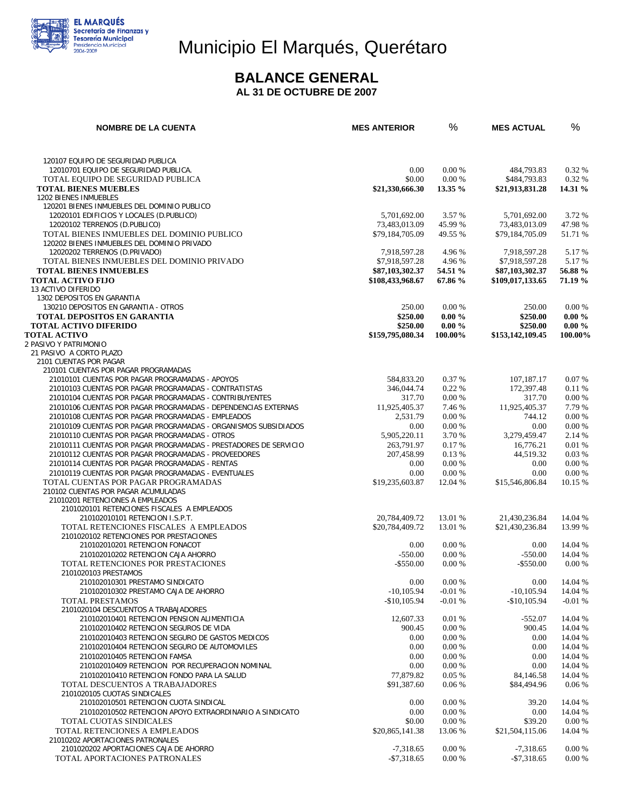

# Municipio El Marqués, Querétaro

#### **BALANCE GENERAL**

 **AL 31 DE OCTUBRE DE 2007** 

| <b>NOMBRE DE LA CUENTA</b>                                                              | <b>MES ANTERIOR</b> | %         | <b>MES ACTUAL</b> | %         |
|-----------------------------------------------------------------------------------------|---------------------|-----------|-------------------|-----------|
|                                                                                         |                     |           |                   |           |
| 120107 EQUIPO DE SEGURIDAD PUBLICA                                                      |                     |           |                   |           |
| 12010701 EQUIPO DE SEGURIDAD PUBLICA.                                                   | 0.00                | 0.00 %    | 484,793.83        | 0.32%     |
| TOTAL EQUIPO DE SEGURIDAD PUBLICA                                                       | \$0.00              | 0.00%     | \$484,793.83      | 0.32 %    |
| <b>TOTAL BIENES MUEBLES</b>                                                             | \$21,330,666.30     | 13.35 %   | \$21,913,831.28   | 14.31 %   |
| 1202 BIENES INMUEBLES                                                                   |                     |           |                   |           |
| 120201 BIENES INMUEBLES DEL DOMINIO PUBLICO                                             |                     |           |                   |           |
| 12020101 EDIFICIOS Y LOCALES (D.PUBLICO)                                                | 5,701,692.00        | 3.57 %    | 5,701,692.00      | 3.72 %    |
| 12020102 TERRENOS (D.PUBLICO)                                                           | 73,483,013.09       | 45.99 %   | 73,483,013.09     | 47.98%    |
| TOTAL BIENES INMUEBLES DEL DOMINIO PUBLICO                                              | \$79,184,705.09     | 49.55 %   | \$79,184,705.09   | 51.71 %   |
| 120202 BIENES INMUEBLES DEL DOMINIO PRIVADO                                             |                     |           |                   |           |
| 12020202 TERRENOS (D.PRIVADO)                                                           | 7,918,597.28        | 4.96 %    | 7,918,597.28      | 5.17 %    |
| TOTAL BIENES INMUEBLES DEL DOMINIO PRIVADO                                              | \$7,918,597.28      | 4.96 %    | \$7,918,597.28    | 5.17 %    |
| <b>TOTAL BIENES INMUEBLES</b>                                                           | \$87,103,302.37     | 54.51 %   | \$87,103,302.37   | 56.88 %   |
| <b>TOTAL ACTIVO FIJO</b>                                                                | \$108,433,968.67    | 67.86 %   | \$109,017,133.65  | 71.19 %   |
| 13 ACTIVO DIFERIDO                                                                      |                     |           |                   |           |
| 1302 DEPOSITOS EN GARANTIA                                                              |                     |           |                   |           |
| 130210 DEPOSITOS EN GARANTIA - OTROS                                                    | 250.00              | 0.00%     | 250.00            | 0.00 %    |
| <b>TOTAL DEPOSITOS EN GARANTIA</b>                                                      | \$250.00            | $0.00 \%$ | \$250.00          | $0.00 \%$ |
| <b>TOTAL ACTIVO DIFERIDO</b>                                                            | \$250.00            | $0.00 \%$ | \$250.00          | $0.00 \%$ |
| <b>TOTAL ACTIVO</b>                                                                     | \$159,795,080.34    | 100.00%   | \$153,142,109.45  | 100.00%   |
| 2 PASIVO Y PATRIMONIO                                                                   |                     |           |                   |           |
| 21 PASIVO A CORTO PLAZO                                                                 |                     |           |                   |           |
| 2101 CUENTAS POR PAGAR                                                                  |                     |           |                   |           |
| 210101 CUENTAS POR PAGAR PROGRAMADAS<br>21010101 CUENTAS POR PAGAR PROGRAMADAS - APOYOS | 584,833.20          | 0.37 %    | 107,187.17        | 0.07%     |
| 21010103 CUENTAS POR PAGAR PROGRAMADAS - CONTRATISTAS                                   | 346,044.74          | 0.22%     | 172,397.48        | 0.11%     |
| 21010104 CUENTAS POR PAGAR PROGRAMADAS - CONTRIBUYENTES                                 | 317.70              | 0.00 %    | 317.70            | 0.00 %    |
| 21010106 CUENTAS POR PAGAR PROGRAMADAS - DEPENDENCIAS EXTERNAS                          |                     | 7.46 %    | 11,925,405.37     | 7.79 %    |
|                                                                                         | 11,925,405.37       |           |                   |           |
| 21010108 CUENTAS POR PAGAR PROGRAMADAS - EMPLEADOS                                      | 2,531.79            | 0.00 %    | 744.12            | 0.00%     |
| 21010109 CUENTAS POR PAGAR PROGRAMADAS - ORGANISMOS SUBSIDIADOS                         | 0.00                | 0.00 %    | 0.00              | 0.00%     |
| 21010110 CUENTAS POR PAGAR PROGRAMADAS - OTROS                                          | 5,905,220.11        | 3.70 %    | 3,279,459.47      | 2.14 %    |
| 21010111 CUENTAS POR PAGAR PROGRAMADAS - PRESTADORES DE SERVICIO                        | 263,791.97          | 0.17%     | 16,776.21         | 0.01%     |
| 21010112 CUENTAS POR PAGAR PROGRAMADAS - PROVEEDORES                                    | 207,458.99          | 0.13 %    | 44,519.32         | 0.03%     |
| 21010114 CUENTAS POR PAGAR PROGRAMADAS - RENTAS                                         | 0.00                | 0.00 %    | 0.00              | 0.00 %    |
| 21010119 CUENTAS POR PAGAR PROGRAMADAS - EVENTUALES                                     | 0.00                | 0.00 %    | 0.00              | 0.00 %    |
| TOTAL CUENTAS POR PAGAR PROGRAMADAS                                                     | \$19,235,603.87     | 12.04 %   | \$15,546,806.84   | 10.15 %   |
| 210102 CUENTAS POR PAGAR ACUMULADAS<br>21010201 RETENCIONES A EMPLEADOS                 |                     |           |                   |           |
| 2101020101 RETENCIONES FISCALES A EMPLEADOS                                             |                     |           |                   |           |
| 210102010101 RETENCION I.S.P.T.                                                         | 20,784,409.72       | 13.01 %   | 21.430.236.84     | 14.04 %   |
| TOTAL RETENCIONES FISCALES A EMPLEADOS                                                  | \$20,784,409.72     | 13.01 %   | \$21,430,236.84   | 13.99 %   |
| 2101020102 RETENCIONES POR PRESTACIONES                                                 |                     |           |                   |           |
| 210102010201 RETENCION FONACOT                                                          | 0.00                | 0.00 %    | 0.00              | 14.04 %   |
| 210102010202 RETENCION CAJA AHORRO                                                      | $-550.00$           | 0.00 %    | $-550.00$         | 14.04 %   |
| TOTAL RETENCIONES POR PRESTACIONES                                                      | $-$ \$550.00        | 0.00%     | $-$ \$550.00      | 0.00 %    |
| 2101020103 PRESTAMOS                                                                    |                     |           |                   |           |
| 210102010301 PRESTAMO SINDICATO                                                         | 0.00                | 0.00 %    | 0.00              | 14.04 %   |
| 210102010302 PRESTAMO CAJA DE AHORRO                                                    | $-10,105.94$        | $-0.01%$  | $-10,105.94$      | 14.04 %   |
| TOTAL PRESTAMOS                                                                         | $-$10,105.94$       | $-0.01%$  | $-$10,105.94$     | $-0.01%$  |
| 2101020104 DESCUENTOS A TRABAJADORES                                                    |                     |           |                   |           |
| 210102010401 RETENCION PENSION ALIMENTICIA                                              | 12,607.33           | 0.01%     | $-552.07$         | 14.04 %   |
| 210102010402 RETENCION SEGUROS DE VIDA                                                  | 900.45              | 0.00 %    | 900.45            | 14.04 %   |
| 210102010403 RETENCION SEGURO DE GASTOS MEDICOS                                         | 0.00                | 0.00 %    | 0.00              | 14.04 %   |
| 210102010404 RETENCION SEGURO DE AUTOMOVILES                                            | 0.00                | 0.00 %    | 0.00              | 14.04 %   |
| 210102010405 RETENCION FAMSA                                                            | 0.00                | 0.00 %    | 0.00              | 14.04 %   |
| 210102010409 RETENCION POR RECUPERACION NOMINAL                                         | 0.00                | 0.00 %    | 0.00              | 14.04 %   |
| 210102010410 RETENCION FONDO PARA LA SALUD                                              | 77,879.82           | 0.05%     | 84,146.58         | 14.04 %   |
| TOTAL DESCUENTOS A TRABAJADORES                                                         | \$91,387.60         | 0.06%     | \$84,494.96       | $0.06\%$  |
| 2101020105 CUOTAS SINDICALES                                                            |                     |           |                   |           |
| 210102010501 RETENCION CUOTA SINDICAL                                                   | 0.00                | 0.00 %    | 39.20             | 14.04 %   |
| 210102010502 RETENCION APOYO EXTRAORDINARIO A SINDICATO                                 | 0.00                | 0.00 %    | 0.00              | 14.04 %   |
| TOTAL CUOTAS SINDICALES                                                                 | \$0.00              | 0.00 %    | \$39.20           | 0.00 %    |
| TOTAL RETENCIONES A EMPLEADOS                                                           | \$20,865,141.38     | 13.06 %   | \$21,504,115.06   | 14.04 %   |
| 21010202 APORTACIONES PATRONALES                                                        |                     |           |                   |           |
| 2101020202 APORTACIONES CAJA DE AHORRO                                                  | $-7,318.65$         | 0.00 %    | $-7,318.65$       | 0.00 %    |
| TOTAL APORTACIONES PATRONALES                                                           | $-$7,318.65$        | 0.00 %    | $-$7,318.65$      | 0.00 %    |
|                                                                                         |                     |           |                   |           |